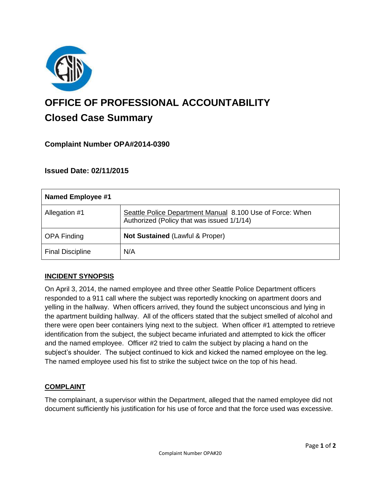

# **OFFICE OF PROFESSIONAL ACCOUNTABILITY Closed Case Summary**

# **Complaint Number OPA#2014-0390**

## **Issued Date: 02/11/2015**

| Named Employee #1       |                                                                                                         |
|-------------------------|---------------------------------------------------------------------------------------------------------|
| Allegation #1           | Seattle Police Department Manual 8.100 Use of Force: When<br>Authorized (Policy that was issued 1/1/14) |
| <b>OPA Finding</b>      | Not Sustained (Lawful & Proper)                                                                         |
| <b>Final Discipline</b> | N/A                                                                                                     |

## **INCIDENT SYNOPSIS**

On April 3, 2014, the named employee and three other Seattle Police Department officers responded to a 911 call where the subject was reportedly knocking on apartment doors and yelling in the hallway. When officers arrived, they found the subject unconscious and lying in the apartment building hallway. All of the officers stated that the subject smelled of alcohol and there were open beer containers lying next to the subject. When officer #1 attempted to retrieve identification from the subject, the subject became infuriated and attempted to kick the officer and the named employee. Officer #2 tried to calm the subject by placing a hand on the subject's shoulder. The subject continued to kick and kicked the named employee on the leg. The named employee used his fist to strike the subject twice on the top of his head.

## **COMPLAINT**

The complainant, a supervisor within the Department, alleged that the named employee did not document sufficiently his justification for his use of force and that the force used was excessive.